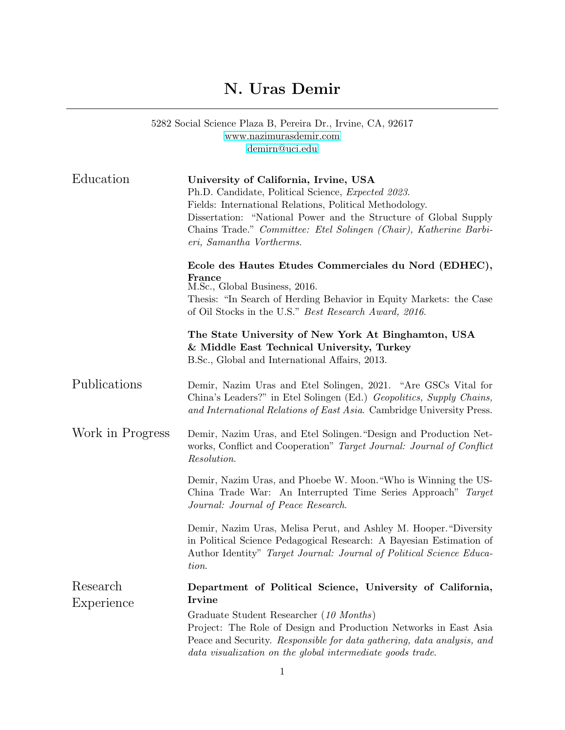## N. Uras Demir

|                  | 5282 Social Science Plaza B, Pereira Dr., Irvine, CA, 92617<br>www.nazimurasdemir.com<br>demirn@uci.edu                                                                                                                                                                                                                     |
|------------------|-----------------------------------------------------------------------------------------------------------------------------------------------------------------------------------------------------------------------------------------------------------------------------------------------------------------------------|
| Education        | University of California, Irvine, USA<br>Ph.D. Candidate, Political Science, Expected 2023.<br>Fields: International Relations, Political Methodology.<br>Dissertation: "National Power and the Structure of Global Supply<br>Chains Trade." Committee: Etel Solingen (Chair), Katherine Barbi-<br>eri, Samantha Vortherms. |
|                  | Ecole des Hautes Etudes Commerciales du Nord (EDHEC),<br>France<br>M.Sc., Global Business, 2016.<br>Thesis: "In Search of Herding Behavior in Equity Markets: the Case<br>of Oil Stocks in the U.S." Best Research Award, 2016.                                                                                             |
|                  | The State University of New York At Binghamton, USA<br>& Middle East Technical University, Turkey<br>B.Sc., Global and International Affairs, 2013.                                                                                                                                                                         |
| Publications     | Demir, Nazim Uras and Etel Solingen, 2021. "Are GSCs Vital for<br>China's Leaders?" in Etel Solingen (Ed.) Geopolitics, Supply Chains,<br>and International Relations of East Asia. Cambridge University Press.                                                                                                             |
| Work in Progress | Demir, Nazim Uras, and Etel Solingen. "Design and Production Net-<br>works, Conflict and Cooperation" Target Journal: Journal of Conflict<br>$\it Resolution.$                                                                                                                                                              |
|                  | Demir, Nazim Uras, and Phoebe W. Moon. "Who is Winning the US-<br>China Trade War: An Interrupted Time Series Approach" Target<br>Journal: Journal of Peace Research.                                                                                                                                                       |
|                  | Demir, Nazim Uras, Melisa Perut, and Ashley M. Hooper. "Diversity<br>in Political Science Pedagogical Research: A Bayesian Estimation of<br>Author Identity" Target Journal: Journal of Political Science Educa-<br>tion.                                                                                                   |
| Research         | Department of Political Science, University of California,<br>Irvine                                                                                                                                                                                                                                                        |
| Experience       | Graduate Student Researcher (10 Months)<br>Project: The Role of Design and Production Networks in East Asia<br>Peace and Security. Responsible for data gathering, data analysis, and<br>data visualization on the global intermediate goods trade.                                                                         |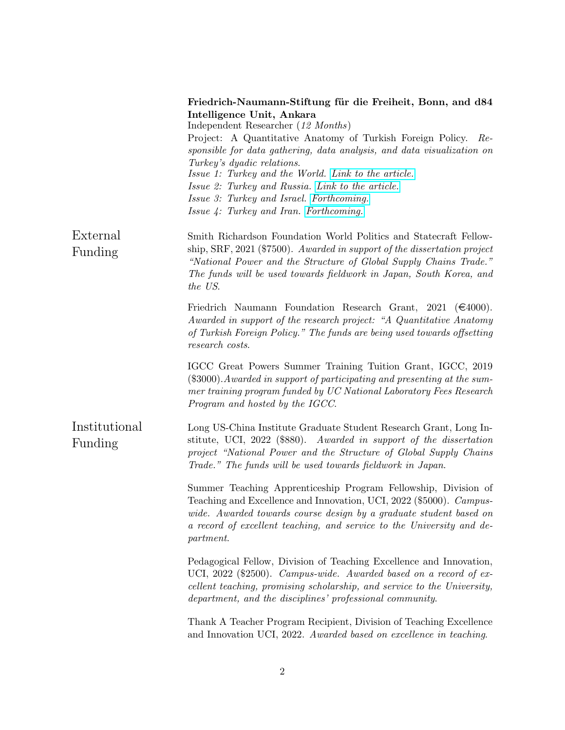|                          | Friedrich-Naumann-Stiftung für die Freiheit, Bonn, and d84<br>Intelligence Unit, Ankara<br>Independent Researcher (12 Months)<br>Project: A Quantitative Anatomy of Turkish Foreign Policy.<br>Re-<br>sponsible for data gathering, data analysis, and data visualization on<br>Turkey's dyadic relations.<br>Issue 1: Turkey and the World. Link to the article.<br>Issue 2: Turkey and Russia. Link to the article.<br>Issue 3: Turkey and Israel. Forthcoming.<br>Issue 4: Turkey and Iran. Forthcoming. |
|--------------------------|-------------------------------------------------------------------------------------------------------------------------------------------------------------------------------------------------------------------------------------------------------------------------------------------------------------------------------------------------------------------------------------------------------------------------------------------------------------------------------------------------------------|
| External<br>Funding      | Smith Richardson Foundation World Politics and Statecraft Fellow-<br>ship, SRF, 2021 (\$7500). Awarded in support of the dissertation project<br>"National Power and the Structure of Global Supply Chains Trade."<br>The funds will be used towards fieldwork in Japan, South Korea, and<br>the US.                                                                                                                                                                                                        |
|                          | Friedrich Naumann Foundation Research Grant, 2021 ( $\epsilon$ 4000).<br>Awarded in support of the research project: "A Quantitative Anatomy<br>of Turkish Foreign Policy." The funds are being used towards offsetting<br>research costs.                                                                                                                                                                                                                                                                  |
|                          | IGCC Great Powers Summer Training Tuition Grant, IGCC, 2019<br>$(\$3000)$ . Awarded in support of participating and presenting at the sum-<br>mer training program funded by UC National Laboratory Fees Research<br>Program and hosted by the IGCC.                                                                                                                                                                                                                                                        |
| Institutional<br>Funding | Long US-China Institute Graduate Student Research Grant, Long In-<br>stitute, UCI, 2022 (\$880). Awarded in support of the dissertation<br>project "National Power and the Structure of Global Supply Chains<br>Trade." The funds will be used towards fieldwork in Japan.                                                                                                                                                                                                                                  |
|                          | Summer Teaching Apprenticeship Program Fellowship, Division of<br>Teaching and Excellence and Innovation, UCI, 2022 (\$5000). Campus-<br>wide. Awarded towards course design by a graduate student based on<br>a record of excellent teaching, and service to the University and de-<br>partment.                                                                                                                                                                                                           |
|                          | Pedagogical Fellow, Division of Teaching Excellence and Innovation,<br>UCI, 2022 (\$2500). Campus-wide. Awarded based on a record of ex-<br>cellent teaching, promising scholarship, and service to the University,<br>department, and the disciplines' professional community.                                                                                                                                                                                                                             |
|                          | Thank A Teacher Program Recipient, Division of Teaching Excellence<br>and Innovation UCI, 2022. Awarded based on excellence in teaching.                                                                                                                                                                                                                                                                                                                                                                    |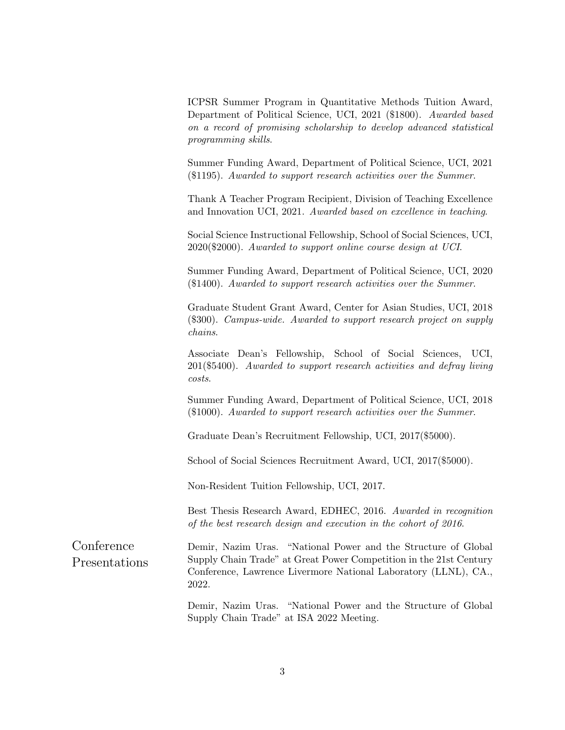ICPSR Summer Program in Quantitative Methods Tuition Award, Department of Political Science, UCI, 2021 (\$1800). Awarded based on a record of promising scholarship to develop advanced statistical programming skills.

Summer Funding Award, Department of Political Science, UCI, 2021 (\$1195). Awarded to support research activities over the Summer.

Thank A Teacher Program Recipient, Division of Teaching Excellence and Innovation UCI, 2021. Awarded based on excellence in teaching.

Social Science Instructional Fellowship, School of Social Sciences, UCI, 2020(\$2000). Awarded to support online course design at UCI.

Summer Funding Award, Department of Political Science, UCI, 2020 (\$1400). Awarded to support research activities over the Summer.

Graduate Student Grant Award, Center for Asian Studies, UCI, 2018 (\$300). Campus-wide. Awarded to support research project on supply chains.

Associate Dean's Fellowship, School of Social Sciences, UCI, 201(\$5400). Awarded to support research activities and defray living costs.

Summer Funding Award, Department of Political Science, UCI, 2018 (\$1000). Awarded to support research activities over the Summer.

Graduate Dean's Recruitment Fellowship, UCI, 2017(\$5000).

School of Social Sciences Recruitment Award, UCI, 2017(\$5000).

Non-Resident Tuition Fellowship, UCI, 2017.

Best Thesis Research Award, EDHEC, 2016. Awarded in recognition of the best research design and execution in the cohort of 2016.

| Conference    | Demir, Nazim Uras. "National Power and the Structure of Global     |
|---------------|--------------------------------------------------------------------|
| Presentations | Supply Chain Trade" at Great Power Competition in the 21st Century |
|               | Conference, Lawrence Livermore National Laboratory (LLNL), CA.,    |
|               | 2022.                                                              |

Demir, Nazim Uras. "National Power and the Structure of Global Supply Chain Trade" at ISA 2022 Meeting.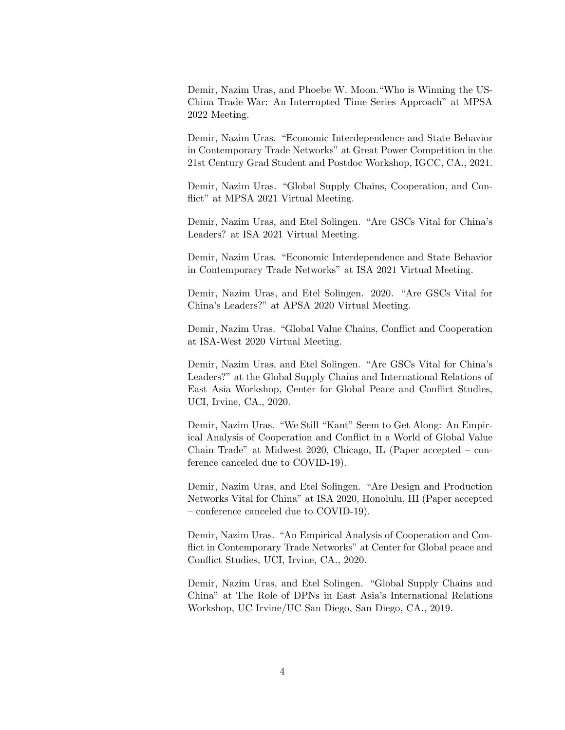Demir, Nazim Uras, and Phoebe W. Moon."Who is Winning the US-China Trade War: An Interrupted Time Series Approach" at MPSA 2022 Meeting.

Demir, Nazim Uras. "Economic Interdependence and State Behavior in Contemporary Trade Networks" at Great Power Competition in the 21st Century Grad Student and Postdoc Workshop, IGCC, CA., 2021.

Demir, Nazim Uras. "Global Supply Chains, Cooperation, and Conflict" at MPSA 2021 Virtual Meeting.

Demir, Nazim Uras, and Etel Solingen. "Are GSCs Vital for China's Leaders? at ISA 2021 Virtual Meeting.

Demir, Nazim Uras. "Economic Interdependence and State Behavior in Contemporary Trade Networks" at ISA 2021 Virtual Meeting.

Demir, Nazim Uras, and Etel Solingen. 2020. "Are GSCs Vital for China's Leaders?" at APSA 2020 Virtual Meeting.

Demir, Nazim Uras. "Global Value Chains, Conflict and Cooperation at ISA-West 2020 Virtual Meeting.

Demir, Nazim Uras, and Etel Solingen. "Are GSCs Vital for China's Leaders?" at the Global Supply Chains and International Relations of East Asia Workshop, Center for Global Peace and Conflict Studies, UCI, Irvine, CA., 2020.

Demir, Nazim Uras. "We Still "Kant" Seem to Get Along: An Empirical Analysis of Cooperation and Conflict in a World of Global Value Chain Trade" at Midwest 2020, Chicago, IL (Paper accepted – conference canceled due to COVID-19).

Demir, Nazim Uras, and Etel Solingen. "Are Design and Production Networks Vital for China" at ISA 2020, Honolulu, HI (Paper accepted – conference canceled due to COVID-19).

Demir, Nazim Uras. "An Empirical Analysis of Cooperation and Conflict in Contemporary Trade Networks" at Center for Global peace and Conflict Studies, UCI, Irvine, CA., 2020.

Demir, Nazim Uras, and Etel Solingen. "Global Supply Chains and China" at The Role of DPNs in East Asia's International Relations Workshop, UC Irvine/UC San Diego, San Diego, CA., 2019.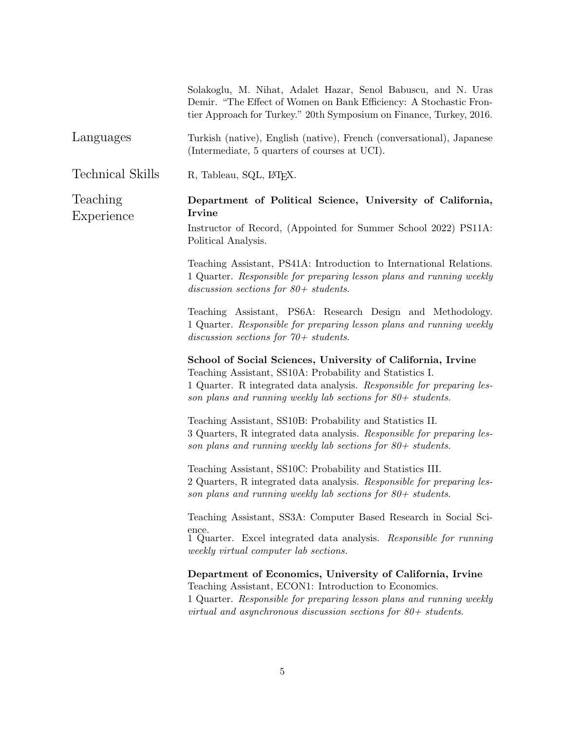Solakoglu, M. Nihat, Adalet Hazar, Senol Babuscu, and N. Uras Demir. "The Effect of Women on Bank Efficiency: A Stochastic Frontier Approach for Turkey." 20th Symposium on Finance, Turkey, 2016.

- Languages Turkish (native), English (native), French (conversational), Japanese (Intermediate, 5 quarters of courses at UCI).
- Technical Skills R, Tableau, SQL, L<sup>AT</sup>EX.

Teaching Experience

## Department of Political Science, University of California, Irvine

Instructor of Record, (Appointed for Summer School 2022) PS11A: Political Analysis.

Teaching Assistant, PS41A: Introduction to International Relations. 1 Quarter. Responsible for preparing lesson plans and running weekly discussion sections for 80+ students.

Teaching Assistant, PS6A: Research Design and Methodology. 1 Quarter. Responsible for preparing lesson plans and running weekly discussion sections for 70+ students.

School of Social Sciences, University of California, Irvine Teaching Assistant, SS10A: Probability and Statistics I. 1 Quarter. R integrated data analysis. Responsible for preparing lesson plans and running weekly lab sections for 80+ students.

Teaching Assistant, SS10B: Probability and Statistics II. 3 Quarters, R integrated data analysis. Responsible for preparing lesson plans and running weekly lab sections for 80+ students.

Teaching Assistant, SS10C: Probability and Statistics III. 2 Quarters, R integrated data analysis. Responsible for preparing lesson plans and running weekly lab sections for  $80+$  students.

Teaching Assistant, SS3A: Computer Based Research in Social Science.

1 Quarter. Excel integrated data analysis. Responsible for running weekly virtual computer lab sections.

## Department of Economics, University of California, Irvine Teaching Assistant, ECON1: Introduction to Economics.

1 Quarter. Responsible for preparing lesson plans and running weekly virtual and asynchronous discussion sections for  $80+$  students.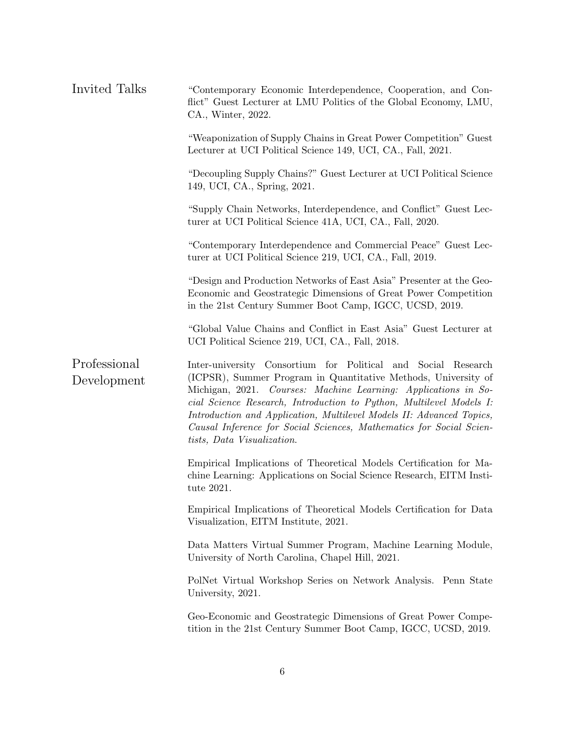| Invited Talks               | "Contemporary Economic Interdependence, Cooperation, and Con-<br>flict" Guest Lecturer at LMU Politics of the Global Economy, LMU,<br>CA., Winter, 2022.                                                                                                                                                                                                                                                                                              |
|-----------------------------|-------------------------------------------------------------------------------------------------------------------------------------------------------------------------------------------------------------------------------------------------------------------------------------------------------------------------------------------------------------------------------------------------------------------------------------------------------|
|                             | "Weaponization of Supply Chains in Great Power Competition" Guest<br>Lecturer at UCI Political Science 149, UCI, CA., Fall, 2021.                                                                                                                                                                                                                                                                                                                     |
|                             | "Decoupling Supply Chains?" Guest Lecturer at UCI Political Science<br>149, UCI, CA., Spring, 2021.                                                                                                                                                                                                                                                                                                                                                   |
|                             | "Supply Chain Networks, Interdependence, and Conflict" Guest Lec-<br>turer at UCI Political Science 41A, UCI, CA., Fall, 2020.                                                                                                                                                                                                                                                                                                                        |
|                             | "Contemporary Interdependence and Commercial Peace" Guest Lec-<br>turer at UCI Political Science 219, UCI, CA., Fall, 2019.                                                                                                                                                                                                                                                                                                                           |
|                             | "Design and Production Networks of East Asia" Presenter at the Geo-<br>Economic and Geostrategic Dimensions of Great Power Competition<br>in the 21st Century Summer Boot Camp, IGCC, UCSD, 2019.                                                                                                                                                                                                                                                     |
|                             | "Global Value Chains and Conflict in East Asia" Guest Lecturer at<br>UCI Political Science 219, UCI, CA., Fall, 2018.                                                                                                                                                                                                                                                                                                                                 |
| Professional<br>Development | Inter-university Consortium for Political and Social Research<br>(ICPSR), Summer Program in Quantitative Methods, University of<br>Michigan, 2021. Courses: Machine Learning: Applications in So-<br>cial Science Research, Introduction to Python, Multilevel Models I:<br>Introduction and Application, Multilevel Models II: Advanced Topics,<br>Causal Inference for Social Sciences, Mathematics for Social Scien-<br>tists, Data Visualization. |
|                             | Empirical Implications of Theoretical Models Certification for Ma-<br>chine Learning: Applications on Social Science Research, EITM Insti-<br>tute 2021.                                                                                                                                                                                                                                                                                              |
|                             | Empirical Implications of Theoretical Models Certification for Data<br>Visualization, EITM Institute, 2021.                                                                                                                                                                                                                                                                                                                                           |
|                             | Data Matters Virtual Summer Program, Machine Learning Module,<br>University of North Carolina, Chapel Hill, 2021.                                                                                                                                                                                                                                                                                                                                     |
|                             | PolNet Virtual Workshop Series on Network Analysis. Penn State<br>University, 2021.                                                                                                                                                                                                                                                                                                                                                                   |
|                             | Geo-Economic and Geostrategic Dimensions of Great Power Compe-<br>tition in the 21st Century Summer Boot Camp, IGCC, UCSD, 2019.                                                                                                                                                                                                                                                                                                                      |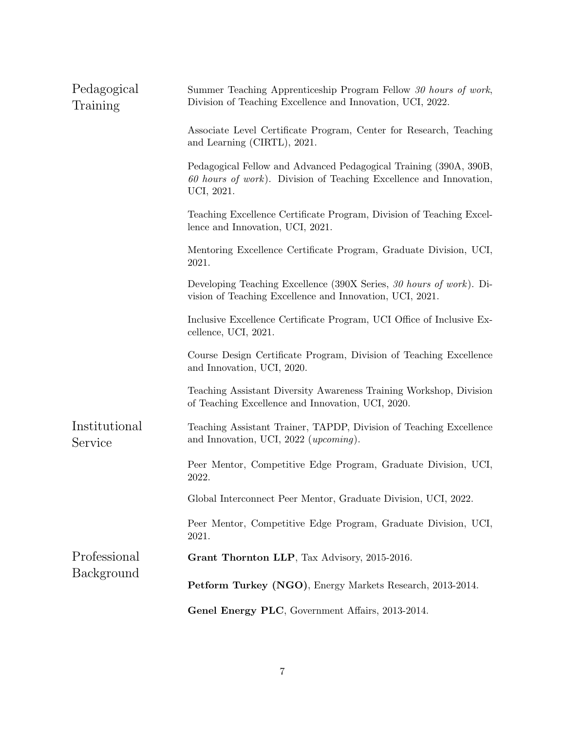| Pedagogical<br>Training    | Summer Teaching Apprenticeship Program Fellow 30 hours of work,<br>Division of Teaching Excellence and Innovation, UCI, 2022.                           |  |
|----------------------------|---------------------------------------------------------------------------------------------------------------------------------------------------------|--|
|                            | Associate Level Certificate Program, Center for Research, Teaching<br>and Learning (CIRTL), 2021.                                                       |  |
|                            | Pedagogical Fellow and Advanced Pedagogical Training (390A, 390B,<br>$60$ hours of work). Division of Teaching Excellence and Innovation,<br>UCI, 2021. |  |
|                            | Teaching Excellence Certificate Program, Division of Teaching Excel-<br>lence and Innovation, UCI, 2021.                                                |  |
|                            | Mentoring Excellence Certificate Program, Graduate Division, UCI,<br>2021.                                                                              |  |
|                            | Developing Teaching Excellence (390X Series, 30 hours of work). Di-<br>vision of Teaching Excellence and Innovation, UCI, 2021.                         |  |
|                            | Inclusive Excellence Certificate Program, UCI Office of Inclusive Ex-<br>cellence, UCI, 2021.                                                           |  |
|                            | Course Design Certificate Program, Division of Teaching Excellence<br>and Innovation, UCI, 2020.                                                        |  |
|                            | Teaching Assistant Diversity Awareness Training Workshop, Division<br>of Teaching Excellence and Innovation, UCI, 2020.                                 |  |
| Institutional<br>Service   | Teaching Assistant Trainer, TAPDP, Division of Teaching Excellence<br>and Innovation, UCI, 2022 (upcoming).                                             |  |
|                            | Peer Mentor, Competitive Edge Program, Graduate Division, UCI,<br>2022.                                                                                 |  |
|                            | Global Interconnect Peer Mentor, Graduate Division, UCI, 2022.                                                                                          |  |
|                            | Peer Mentor, Competitive Edge Program, Graduate Division, UCI,<br>2021.                                                                                 |  |
| Professional<br>Background | Grant Thornton LLP, Tax Advisory, 2015-2016.                                                                                                            |  |
|                            | Petform Turkey (NGO), Energy Markets Research, 2013-2014.                                                                                               |  |
|                            | Genel Energy PLC, Government Affairs, 2013-2014.                                                                                                        |  |